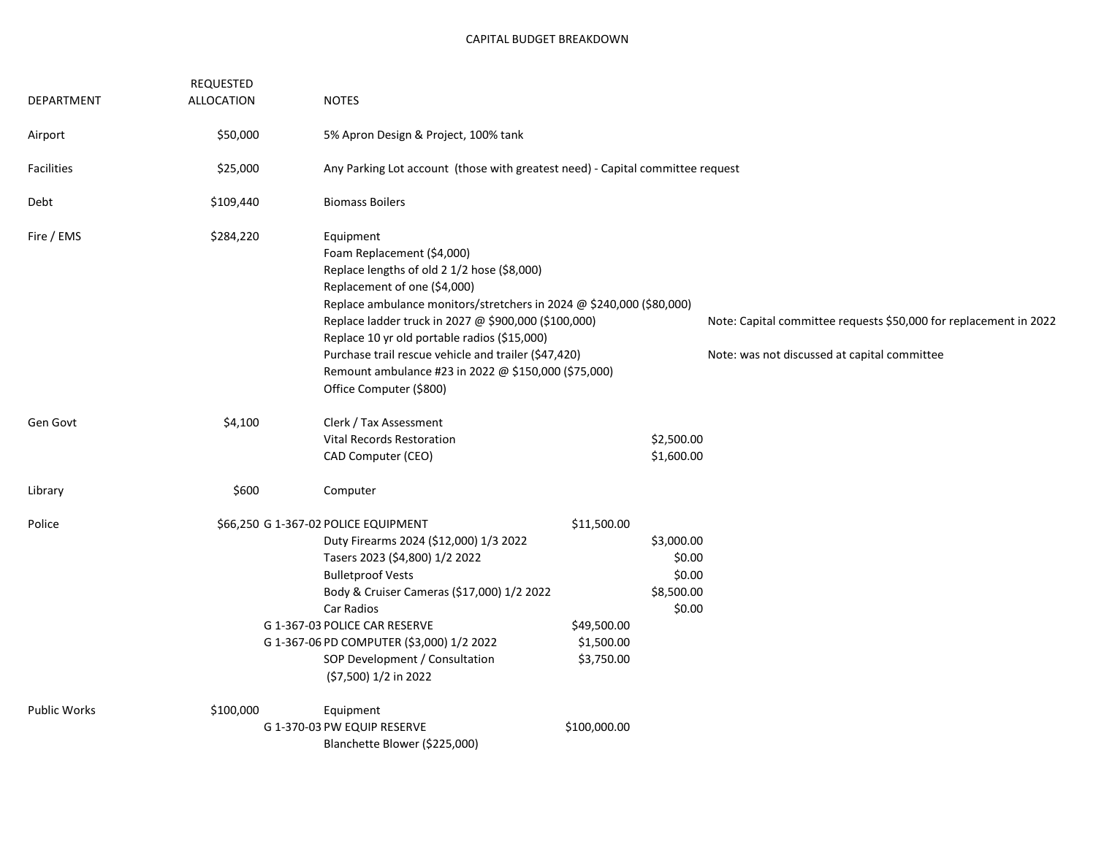|                     | <b>REQUESTED</b>  |                                                                                                                                                                                                                                                                                                                                                                                                                                                   |                                                        |                                                                                                                   |  |
|---------------------|-------------------|---------------------------------------------------------------------------------------------------------------------------------------------------------------------------------------------------------------------------------------------------------------------------------------------------------------------------------------------------------------------------------------------------------------------------------------------------|--------------------------------------------------------|-------------------------------------------------------------------------------------------------------------------|--|
| DEPARTMENT          | <b>ALLOCATION</b> | <b>NOTES</b>                                                                                                                                                                                                                                                                                                                                                                                                                                      |                                                        |                                                                                                                   |  |
| Airport             | \$50,000          | 5% Apron Design & Project, 100% tank                                                                                                                                                                                                                                                                                                                                                                                                              |                                                        |                                                                                                                   |  |
| <b>Facilities</b>   | \$25,000          | Any Parking Lot account (those with greatest need) - Capital committee request                                                                                                                                                                                                                                                                                                                                                                    |                                                        |                                                                                                                   |  |
| Debt                | \$109,440         | <b>Biomass Boilers</b>                                                                                                                                                                                                                                                                                                                                                                                                                            |                                                        |                                                                                                                   |  |
| Fire / EMS          | \$284,220         | Equipment<br>Foam Replacement (\$4,000)<br>Replace lengths of old 2 1/2 hose (\$8,000)<br>Replacement of one (\$4,000)<br>Replace ambulance monitors/stretchers in 2024 @ \$240,000 (\$80,000)<br>Replace ladder truck in 2027 @ \$900,000 (\$100,000)<br>Replace 10 yr old portable radios (\$15,000)<br>Purchase trail rescue vehicle and trailer (\$47,420)<br>Remount ambulance #23 in 2022 @ \$150,000 (\$75,000)<br>Office Computer (\$800) |                                                        | Note: Capital committee requests \$50,000 for replacement in 2022<br>Note: was not discussed at capital committee |  |
| Gen Govt            | \$4,100           | Clerk / Tax Assessment<br><b>Vital Records Restoration</b><br>CAD Computer (CEO)                                                                                                                                                                                                                                                                                                                                                                  |                                                        | \$2,500.00<br>\$1,600.00                                                                                          |  |
| Library             | \$600             | Computer                                                                                                                                                                                                                                                                                                                                                                                                                                          |                                                        |                                                                                                                   |  |
| Police              |                   | \$66,250 G 1-367-02 POLICE EQUIPMENT<br>Duty Firearms 2024 (\$12,000) 1/3 2022<br>Tasers 2023 (\$4,800) 1/2 2022<br><b>Bulletproof Vests</b><br>Body & Cruiser Cameras (\$17,000) 1/2 2022<br>Car Radios<br>G 1-367-03 POLICE CAR RESERVE<br>G 1-367-06 PD COMPUTER (\$3,000) 1/2 2022<br>SOP Development / Consultation<br>(\$7,500) 1/2 in 2022                                                                                                 | \$11,500.00<br>\$49,500.00<br>\$1,500.00<br>\$3,750.00 | \$3,000.00<br>\$0.00<br>\$0.00<br>\$8,500.00<br>\$0.00                                                            |  |
| <b>Public Works</b> | \$100,000         | Equipment<br>G 1-370-03 PW EQUIP RESERVE<br>Blanchette Blower (\$225,000)                                                                                                                                                                                                                                                                                                                                                                         | \$100,000.00                                           |                                                                                                                   |  |